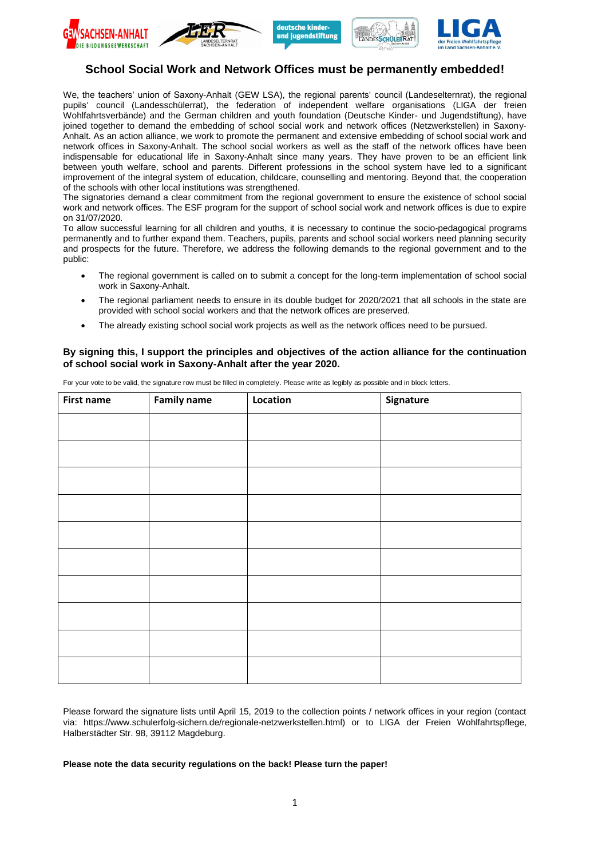







# **School Social Work and Network Offices must be permanently embedded!**

We, the teachers' union of Saxony-Anhalt (GEW LSA), the regional parents' council (Landeselternrat), the regional pupils' council (Landesschülerrat), the federation of independent welfare organisations (LIGA der freien Wohlfahrtsverbände) and the German children and youth foundation (Deutsche Kinder- und Jugendstiftung), have joined together to demand the embedding of school social work and network offices (Netzwerkstellen) in Saxony-Anhalt. As an action alliance, we work to promote the permanent and extensive embedding of school social work and network offices in Saxony-Anhalt. The school social workers as well as the staff of the network offices have been indispensable for educational life in Saxony-Anhalt since many years. They have proven to be an efficient link between youth welfare, school and parents. Different professions in the school system have led to a significant improvement of the integral system of education, childcare, counselling and mentoring. Beyond that, the cooperation of the schools with other local institutions was strengthened.

The signatories demand a clear commitment from the regional government to ensure the existence of school social work and network offices. The ESF program for the support of school social work and network offices is due to expire on 31/07/2020.

To allow successful learning for all children and youths, it is necessary to continue the socio-pedagogical programs permanently and to further expand them. Teachers, pupils, parents and school social workers need planning security and prospects for the future. Therefore, we address the following demands to the regional government and to the public:

- The regional government is called on to submit a concept for the long-term implementation of school social work in Saxony-Anhalt.
- The regional parliament needs to ensure in its double budget for 2020/2021 that all schools in the state are provided with school social workers and that the network offices are preserved.
- The already existing school social work projects as well as the network offices need to be pursued.

# **By signing this, I support the principles and objectives of the action alliance for the continuation of school social work in Saxony-Anhalt after the year 2020.**

| <b>First name</b> | <b>Family name</b> | Location | Signature |
|-------------------|--------------------|----------|-----------|
|                   |                    |          |           |
|                   |                    |          |           |
|                   |                    |          |           |
|                   |                    |          |           |
|                   |                    |          |           |
|                   |                    |          |           |
|                   |                    |          |           |
|                   |                    |          |           |
|                   |                    |          |           |
|                   |                    |          |           |

For your vote to be valid, the signature row must be filled in completely. Please write as legibly as possible and in block letters.

Please forward the signature lists until April 15, 2019 to the collection points / network offices in your region (contact via: https://www.schulerfolg-sichern.de/regionale-netzwerkstellen.html) or to LIGA der Freien Wohlfahrtspflege, Halberstädter Str. 98, 39112 Magdeburg.

## **Please note the data security regulations on the back! Please turn the paper!**